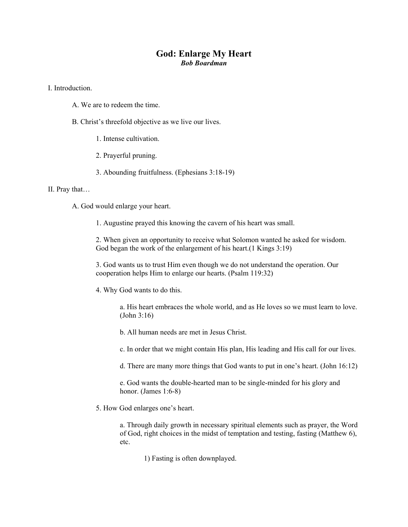## **God: Enlarge My Heart**  *Bob Boardman*

I. Introduction.

- A. We are to redeem the time.
- B. Christ's threefold objective as we live our lives.
	- 1. Intense cultivation.
	- 2. Prayerful pruning.
	- 3. Abounding fruitfulness. (Ephesians 3:18-19)

## II. Pray that…

A. God would enlarge your heart.

1. Augustine prayed this knowing the cavern of his heart was small.

2. When given an opportunity to receive what Solomon wanted he asked for wisdom. God began the work of the enlargement of his heart.(1 Kings 3:19)

3. God wants us to trust Him even though we do not understand the operation. Our cooperation helps Him to enlarge our hearts. (Psalm 119:32)

4. Why God wants to do this.

a. His heart embraces the whole world, and as He loves so we must learn to love. (John 3:16)

b. All human needs are met in Jesus Christ.

c. In order that we might contain His plan, His leading and His call for our lives.

d. There are many more things that God wants to put in one's heart. (John 16:12)

e. God wants the double-hearted man to be single-minded for his glory and honor. (James 1:6-8)

5. How God enlarges one's heart.

a. Through daily growth in necessary spiritual elements such as prayer, the Word of God, right choices in the midst of temptation and testing, fasting (Matthew 6), etc.

1) Fasting is often downplayed.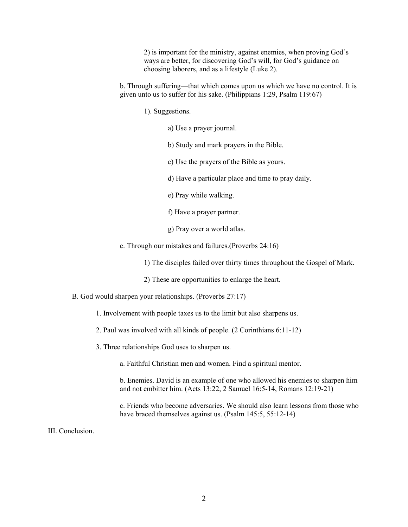2) is important for the ministry, against enemies, when proving God's ways are better, for discovering God's will, for God's guidance on choosing laborers, and as a lifestyle (Luke 2).

b. Through suffering—that which comes upon us which we have no control. It is given unto us to suffer for his sake. (Philippians 1:29, Psalm 119:67)

1). Suggestions.

a) Use a prayer journal.

b) Study and mark prayers in the Bible.

c) Use the prayers of the Bible as yours.

d) Have a particular place and time to pray daily.

e) Pray while walking.

f) Have a prayer partner.

g) Pray over a world atlas.

c. Through our mistakes and failures.(Proverbs 24:16)

1) The disciples failed over thirty times throughout the Gospel of Mark.

2) These are opportunities to enlarge the heart.

B. God would sharpen your relationships. (Proverbs 27:17)

1. Involvement with people taxes us to the limit but also sharpens us.

2. Paul was involved with all kinds of people. (2 Corinthians 6:11-12)

3. Three relationships God uses to sharpen us.

a. Faithful Christian men and women. Find a spiritual mentor.

b. Enemies. David is an example of one who allowed his enemies to sharpen him and not embitter him. (Acts 13:22, 2 Samuel 16:5-14, Romans 12:19-21)

c. Friends who become adversaries. We should also learn lessons from those who have braced themselves against us. (Psalm 145:5, 55:12-14)

III. Conclusion.